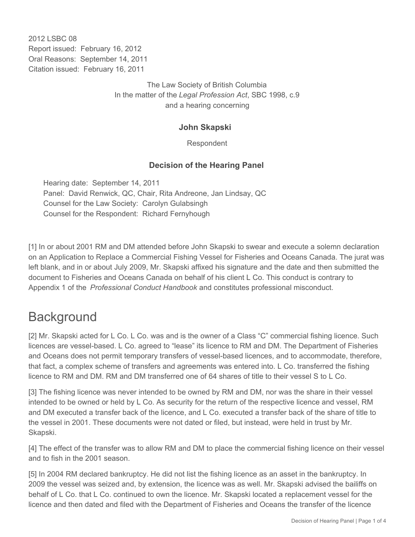2012 LSBC 08 Report issued: February 16, 2012 Oral Reasons: September 14, 2011 Citation issued: February 16, 2011

> The Law Society of British Columbia In the matter of the *Legal Profession Act*, SBC 1998, c.9 and a hearing concerning

## **John Skapski**

Respondent

## **Decision of the Hearing Panel**

Hearing date: September 14, 2011 Panel: David Renwick, QC, Chair, Rita Andreone, Jan Lindsay, QC Counsel for the Law Society: Carolyn Gulabsingh Counsel for the Respondent: Richard Fernyhough

[1] In or about 2001 RM and DM attended before John Skapski to swear and execute a solemn declaration on an Application to Replace a Commercial Fishing Vessel for Fisheries and Oceans Canada. The jurat was left blank, and in or about July 2009, Mr. Skapski affixed his signature and the date and then submitted the document to Fisheries and Oceans Canada on behalf of his client L Co. This conduct is contrary to Appendix 1 of the *Professional Conduct Handbook* and constitutes professional misconduct.

## **Background**

[2] Mr. Skapski acted for L Co. L Co. was and is the owner of a Class "C" commercial fishing licence. Such licences are vessel-based. L Co. agreed to "lease" its licence to RM and DM. The Department of Fisheries and Oceans does not permit temporary transfers of vessel-based licences, and to accommodate, therefore, that fact, a complex scheme of transfers and agreements was entered into. L Co. transferred the fishing licence to RM and DM. RM and DM transferred one of 64 shares of title to their vessel S to L Co.

[3] The fishing licence was never intended to be owned by RM and DM, nor was the share in their vessel intended to be owned or held by L Co. As security for the return of the respective licence and vessel, RM and DM executed a transfer back of the licence, and L Co. executed a transfer back of the share of title to the vessel in 2001. These documents were not dated or filed, but instead, were held in trust by Mr. Skapski.

[4] The effect of the transfer was to allow RM and DM to place the commercial fishing licence on their vessel and to fish in the 2001 season.

[5] In 2004 RM declared bankruptcy. He did not list the fishing licence as an asset in the bankruptcy. In 2009 the vessel was seized and, by extension, the licence was as well. Mr. Skapski advised the bailiffs on behalf of L Co. that L Co. continued to own the licence. Mr. Skapski located a replacement vessel for the licence and then dated and filed with the Department of Fisheries and Oceans the transfer of the licence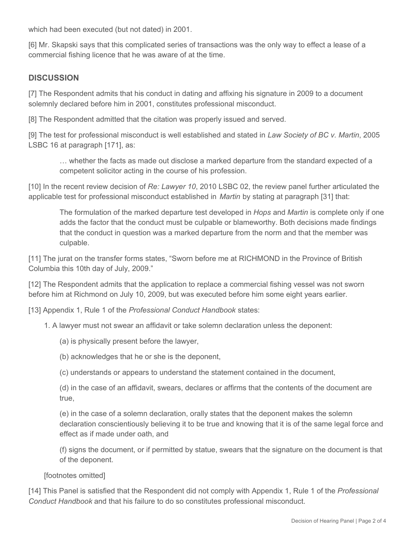which had been executed (but not dated) in 2001.

[6] Mr. Skapski says that this complicated series of transactions was the only way to effect a lease of a commercial fishing licence that he was aware of at the time.

## **DISCUSSION**

[7] The Respondent admits that his conduct in dating and affixing his signature in 2009 to a document solemnly declared before him in 2001, constitutes professional misconduct.

[8] The Respondent admitted that the citation was properly issued and served.

[9] The test for professional misconduct is well established and stated in *Law Society of BC v. Martin*, 2005 LSBC 16 at paragraph [171], as:

… whether the facts as made out disclose a marked departure from the standard expected of a competent solicitor acting in the course of his profession.

[10] In the recent review decision of *Re: Lawyer 10*, 2010 LSBC 02, the review panel further articulated the applicable test for professional misconduct established in *Martin* by stating at paragraph [31] that:

The formulation of the marked departure test developed in *Hops* and *Martin* is complete only if one adds the factor that the conduct must be culpable or blameworthy. Both decisions made findings that the conduct in question was a marked departure from the norm and that the member was culpable.

[11] The jurat on the transfer forms states, "Sworn before me at RICHMOND in the Province of British Columbia this 10th day of July, 2009."

[12] The Respondent admits that the application to replace a commercial fishing vessel was not sworn before him at Richmond on July 10, 2009, but was executed before him some eight years earlier.

[13] Appendix 1, Rule 1 of the *Professional Conduct Handbook* states:

1. A lawyer must not swear an affidavit or take solemn declaration unless the deponent:

(a) is physically present before the lawyer,

(b) acknowledges that he or she is the deponent,

(c) understands or appears to understand the statement contained in the document,

(d) in the case of an affidavit, swears, declares or affirms that the contents of the document are true,

(e) in the case of a solemn declaration, orally states that the deponent makes the solemn declaration conscientiously believing it to be true and knowing that it is of the same legal force and effect as if made under oath, and

(f) signs the document, or if permitted by statue, swears that the signature on the document is that of the deponent.

[footnotes omitted]

[14] This Panel is satisfied that the Respondent did not comply with Appendix 1, Rule 1 of the *Professional Conduct Handbook* and that his failure to do so constitutes professional misconduct.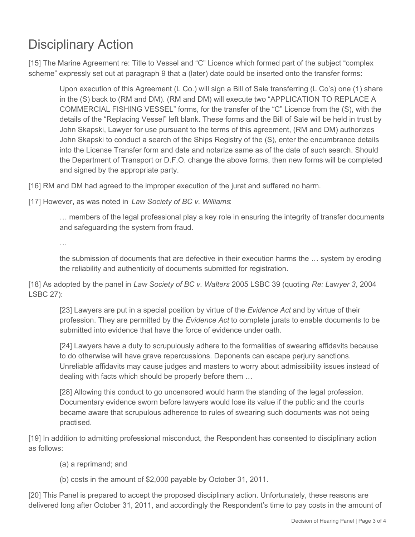# Disciplinary Action

[15] The Marine Agreement re: Title to Vessel and "C" Licence which formed part of the subject "complex scheme" expressly set out at paragraph 9 that a (later) date could be inserted onto the transfer forms:

Upon execution of this Agreement (L Co.) will sign a Bill of Sale transferring (L Co's) one (1) share in the (S) back to (RM and DM). (RM and DM) will execute two "APPLICATION TO REPLACE A COMMERCIAL FISHING VESSEL" forms, for the transfer of the "C" Licence from the (S), with the details of the "Replacing Vessel" left blank. These forms and the Bill of Sale will be held in trust by John Skapski, Lawyer for use pursuant to the terms of this agreement, (RM and DM) authorizes John Skapski to conduct a search of the Ships Registry of the (S), enter the encumbrance details into the License Transfer form and date and notarize same as of the date of such search. Should the Department of Transport or D.F.O. change the above forms, then new forms will be completed and signed by the appropriate party.

[16] RM and DM had agreed to the improper execution of the jurat and suffered no harm.

[17] However, as was noted in *Law Society of BC v. Williams*:

… members of the legal professional play a key role in ensuring the integrity of transfer documents and safeguarding the system from fraud.

…

the submission of documents that are defective in their execution harms the … system by eroding the reliability and authenticity of documents submitted for registration.

[18] As adopted by the panel in *Law Society of BC v. Walters* 2005 LSBC 39 (quoting *Re: Lawyer 3*, 2004 LSBC 27):

[23] Lawyers are put in a special position by virtue of the *Evidence Act* and by virtue of their profession. They are permitted by the *Evidence Act* to complete jurats to enable documents to be submitted into evidence that have the force of evidence under oath.

[24] Lawyers have a duty to scrupulously adhere to the formalities of swearing affidavits because to do otherwise will have grave repercussions. Deponents can escape perjury sanctions. Unreliable affidavits may cause judges and masters to worry about admissibility issues instead of dealing with facts which should be properly before them …

[28] Allowing this conduct to go uncensored would harm the standing of the legal profession. Documentary evidence sworn before lawyers would lose its value if the public and the courts became aware that scrupulous adherence to rules of swearing such documents was not being practised.

[19] In addition to admitting professional misconduct, the Respondent has consented to disciplinary action as follows:

(a) a reprimand; and

(b) costs in the amount of \$2,000 payable by October 31, 2011.

[20] This Panel is prepared to accept the proposed disciplinary action. Unfortunately, these reasons are delivered long after October 31, 2011, and accordingly the Respondent's time to pay costs in the amount of